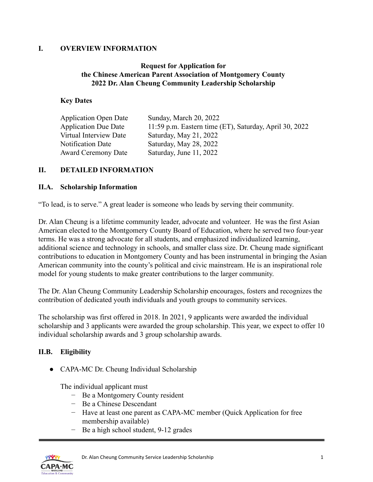### **I. OVERVIEW INFORMATION**

### **Request for Application for the Chinese American Parent Association of Montgomery County 2022 Dr. Alan Cheung Community Leadership Scholarship**

#### **Key Dates**

| <b>Application Open Date</b> | Sunday, March 20, 2022                                 |
|------------------------------|--------------------------------------------------------|
| <b>Application Due Date</b>  | 11:59 p.m. Eastern time (ET), Saturday, April 30, 2022 |
| Virtual Interview Date       | Saturday, May 21, 2022                                 |
| <b>Notification Date</b>     | Saturday, May 28, 2022                                 |
| <b>Award Ceremony Date</b>   | Saturday, June 11, 2022                                |

### **II. DETAILED INFORMATION**

#### **II.A. Scholarship Information**

"To lead, is to serve." A great leader is someone who leads by serving their community.

Dr. Alan Cheung is a lifetime community leader, advocate and volunteer. He was the first Asian American elected to the Montgomery County Board of Education, where he served two four-year terms. He was a strong advocate for all students, and emphasized individualized learning, additional science and technology in schools, and smaller class size. Dr. Cheung made significant contributions to education in Montgomery County and has been instrumental in bringing the Asian American community into the county's political and civic mainstream. He is an inspirational role model for young students to make greater contributions to the larger community.

The Dr. Alan Cheung Community Leadership Scholarship encourages, fosters and recognizes the contribution of dedicated youth individuals and youth groups to community services.

The scholarship was first offered in 2018. In 2021, 9 applicants were awarded the individual scholarship and 3 applicants were awarded the group scholarship. This year, we expect to offer 10 individual scholarship awards and 3 group scholarship awards.

# **II.B. Eligibility**

• CAPA-MC Dr. Cheung Individual Scholarship

The individual applicant must

- − Be a Montgomery County resident
- − Be a Chinese Descendant
- − Have at least one parent as CAPA-MC member (Quick Application for free membership available)
- − Be a high school student, 9-12 grades

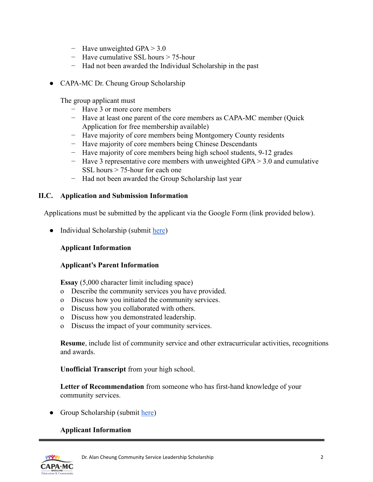- − Have unweighted GPA > 3.0
- − Have cumulative SSL hours > 75-hour
- − Had not been awarded the Individual Scholarship in the past
- CAPA-MC Dr. Cheung Group Scholarship

The group applicant must

- − Have 3 or more core members
- − Have at least one parent of the core members as CAPA-MC member (Quick Application for free membership available)
- − Have majority of core members being Montgomery County residents
- − Have majority of core members being Chinese Descendants
- − Have majority of core members being high school students, 9-12 grades
- − Have 3 representative core members with unweighted GPA > 3.0 and cumulative SSL hours > 75-hour for each one
- − Had not been awarded the Group Scholarship last year

### **II.C. Application and Submission Information**

Applications must be submitted by the applicant via the Google Form (link provided below).

● Individual Scholarship (submit [here](https://docs.google.com/forms/d/e/1FAIpQLSdcE1UBuI1_v2z-bZgZTgfk8IYMPGGIwxuqkjYOyfmvnHzsqQ/viewform?pli=1))

# **Applicant Information**

#### **Applicant's Parent Information**

**Essay** (5,000 character limit including space)

- o Describe the community services you have provided.
- o Discuss how you initiated the community services.
- o Discuss how you collaborated with others.
- o Discuss how you demonstrated leadership.
- o Discuss the impact of your community services.

**Resume**, include list of community service and other extracurricular activities, recognitions and awards.

**Unofficial Transcript** from your high school.

**Letter of Recommendation** from someone who has first-hand knowledge of your community services.

• Group Scholarship (submit [here\)](https://docs.google.com/forms/d/e/1FAIpQLSd7MSyQnyYD_s7wA1FuoTCQ4yD47o9zqa1JNAAGM4T80t9nKA/viewform?pli=1)

# **Applicant Information**

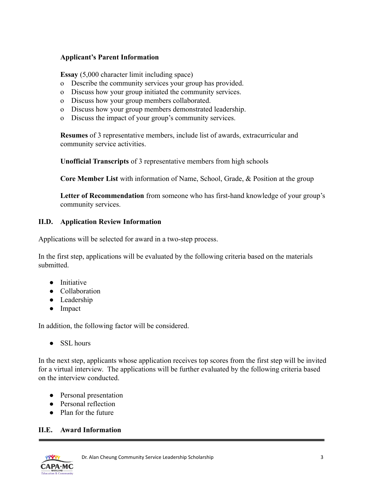### **Applicant's Parent Information**

**Essay** (5,000 character limit including space)

- o Describe the community services your group has provided.
- o Discuss how your group initiated the community services.
- o Discuss how your group members collaborated.
- o Discuss how your group members demonstrated leadership.
- o Discuss the impact of your group's community services.

**Resumes** of 3 representative members, include list of awards, extracurricular and community service activities.

**Unofficial Transcripts** of 3 representative members from high schools

**Core Member List** with information of Name, School, Grade, & Position at the group

**Letter of Recommendation** from someone who has first-hand knowledge of your group's community services.

### **II.D. Application Review Information**

Applications will be selected for award in a two-step process.

In the first step, applications will be evaluated by the following criteria based on the materials submitted.

- Initiative
- Collaboration
- Leadership
- Impact

In addition, the following factor will be considered.

● SSL hours

In the next step, applicants whose application receives top scores from the first step will be invited for a virtual interview. The applications will be further evaluated by the following criteria based on the interview conducted.

- Personal presentation
- Personal reflection
- Plan for the future

# **II.E. Award Information**